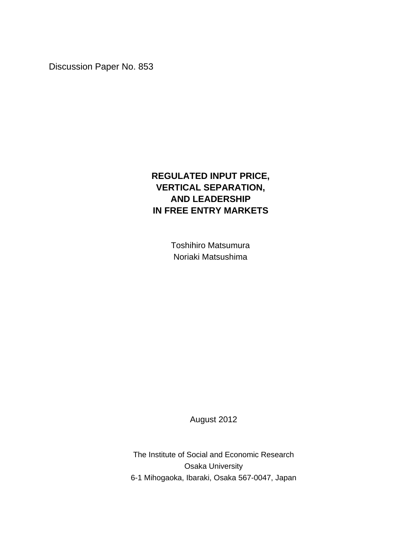Discussion Paper No. 853

# **REGULATED INPUT PRICE, VERTICAL SEPARATION, AND LEADERSHIP IN FREE ENTRY MARKETS**

 Toshihiro Matsumura Noriaki Matsushima

August 2012

The Institute of Social and Economic Research Osaka University 6-1 Mihogaoka, Ibaraki, Osaka 567-0047, Japan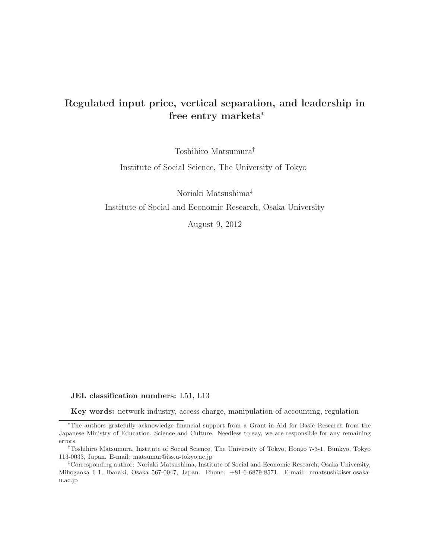# **Regulated input price, vertical separation, and leadership in free entry markets**<sup>∗</sup>

Toshihiro Matsumura†

Institute of Social Science, The University of Tokyo

Noriaki Matsushima‡ Institute of Social and Economic Research, Osaka University

August 9, 2012

#### **JEL classification numbers:** L51, L13

**Key words:** network industry, access charge, manipulation of accounting, regulation

<sup>∗</sup>The authors gratefully acknowledge financial support from a Grant-in-Aid for Basic Research from the Japanese Ministry of Education, Science and Culture. Needless to say, we are responsible for any remaining errors.

<sup>†</sup>Toshihiro Matsumura, Institute of Social Science, The University of Tokyo, Hongo 7-3-1, Bunkyo, Tokyo 113-0033, Japan. E-mail: matsumur@iss.u-tokyo.ac.jp

<sup>‡</sup>Corresponding author: Noriaki Matsushima, Institute of Social and Economic Research, Osaka University, Mihogaoka 6-1, Ibaraki, Osaka 567-0047, Japan. Phone: +81-6-6879-8571. E-mail: nmatsush@iser.osakau.ac.jp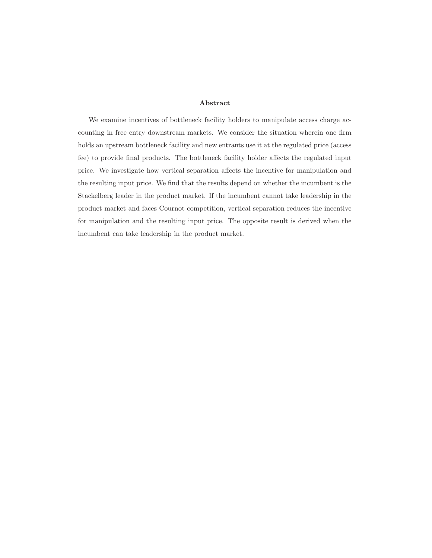#### **Abstract**

We examine incentives of bottleneck facility holders to manipulate access charge accounting in free entry downstream markets. We consider the situation wherein one firm holds an upstream bottleneck facility and new entrants use it at the regulated price (access fee) to provide final products. The bottleneck facility holder affects the regulated input price. We investigate how vertical separation affects the incentive for manipulation and the resulting input price. We find that the results depend on whether the incumbent is the Stackelberg leader in the product market. If the incumbent cannot take leadership in the product market and faces Cournot competition, vertical separation reduces the incentive for manipulation and the resulting input price. The opposite result is derived when the incumbent can take leadership in the product market.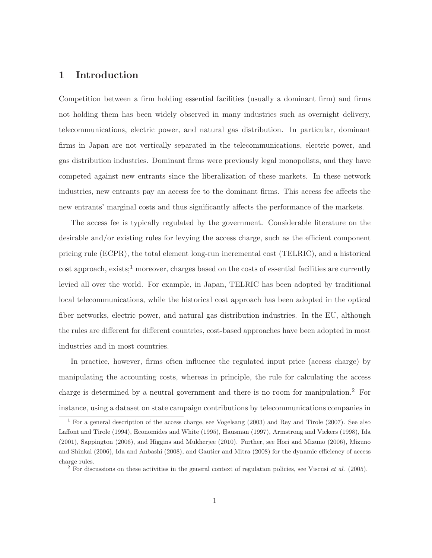## **1 Introduction**

Competition between a firm holding essential facilities (usually a dominant firm) and firms not holding them has been widely observed in many industries such as overnight delivery, telecommunications, electric power, and natural gas distribution. In particular, dominant firms in Japan are not vertically separated in the telecommunications, electric power, and gas distribution industries. Dominant firms were previously legal monopolists, and they have competed against new entrants since the liberalization of these markets. In these network industries, new entrants pay an access fee to the dominant firms. This access fee affects the new entrants' marginal costs and thus significantly affects the performance of the markets.

The access fee is typically regulated by the government. Considerable literature on the desirable and/or existing rules for levying the access charge, such as the efficient component pricing rule (ECPR), the total element long-run incremental cost (TELRIC), and a historical cost approach, exists;<sup>1</sup> moreover, charges based on the costs of essential facilities are currently levied all over the world. For example, in Japan, TELRIC has been adopted by traditional local telecommunications, while the historical cost approach has been adopted in the optical fiber networks, electric power, and natural gas distribution industries. In the EU, although the rules are different for different countries, cost-based approaches have been adopted in most industries and in most countries.

In practice, however, firms often influence the regulated input price (access charge) by manipulating the accounting costs, whereas in principle, the rule for calculating the access charge is determined by a neutral government and there is no room for manipulation.<sup>2</sup> For instance, using a dataset on state campaign contributions by telecommunications companies in

<sup>&</sup>lt;sup>1</sup> For a general description of the access charge, see Vogelsang (2003) and Rey and Tirole (2007). See also Laffont and Tirole (1994), Economides and White (1995), Hausman (1997), Armstrong and Vickers (1998), Ida (2001), Sappington (2006), and Higgins and Mukherjee (2010). Further, see Hori and Mizuno (2006), Mizuno and Shinkai (2006), Ida and Anbashi (2008), and Gautier and Mitra (2008) for the dynamic efficiency of access charge rules.

<sup>2</sup> For discussions on these activities in the general context of regulation policies, see Viscusi *et al.* (2005).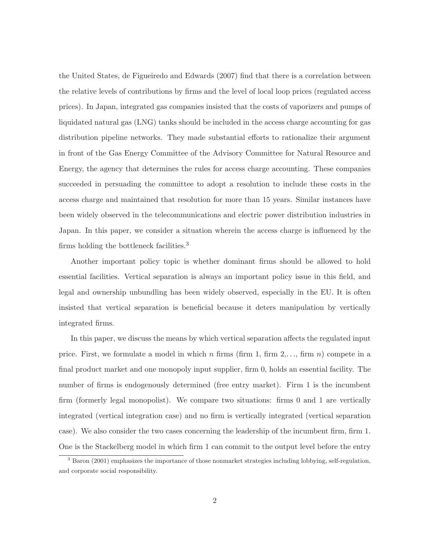the United States, de Figueiredo and Edwards (2007) find that there is a correlation between the relative levels of contributions by firms and the level of local loop prices (regulated access prices). In Japan, integrated gas companies insisted that the costs of vaporizers and pumps of liquidated natural gas (LNG) tanks should be included in the access charge accounting for gas distribution pipeline networks. They made substantial efforts to rationalize their argument in front of the Gas Energy Committee of the Advisory Committee for Natural Resource and Energy, the agency that determines the rules for access charge accounting. These companies succeeded in persuading the committee to adopt a resolution to include these costs in the access charge and maintained that resolution for more than 15 years. Similar instances have been widely observed in the telecommunications and electric power distribution industries in Japan. In this paper, we consider a situation wherein the access charge is influenced by the firms holding the bottleneck facilities.<sup>3</sup>

Another important policy topic is whether dominant firms should be allowed to hold essential facilities. Vertical separation is always an important policy issue in this field, and legal and ownership unbundling has been widely observed, especially in the EU. It is often insisted that vertical separation is beneficial because it deters manipulation by vertically integrated firms.

In this paper, we discuss the means by which vertical separation affects the regulated input price. First, we formulate a model in which n firms (firm 1, firm 2,..., firm n) compete in a final product market and one monopoly input supplier, firm 0, holds an essential facility. The number of firms is endogenously determined (free entry market). Firm 1 is the incumbent firm (formerly legal monopolist). We compare two situations: firms 0 and 1 are vertically integrated (vertical integration case) and no firm is vertically integrated (vertical separation case). We also consider the two cases concerning the leadership of the incumbent firm, firm 1. One is the Stackelberg model in which firm 1 can commit to the output level before the entry

<sup>3</sup> Baron (2001) emphasizes the importance of those nonmarket strategies including lobbying, self-regulation, and corporate social responsibility.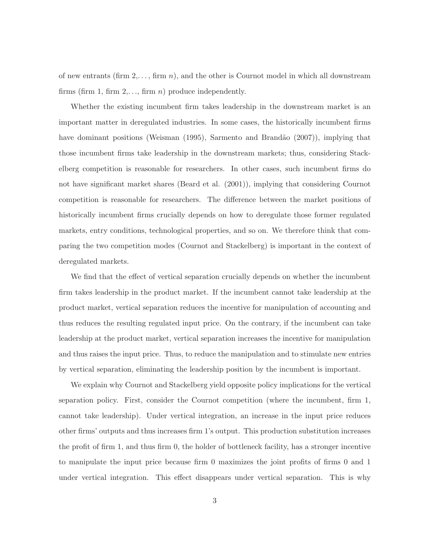of new entrants (firm  $2, \ldots$ , firm n), and the other is Cournot model in which all downstream firms (firm 1, firm  $2, \ldots$ , firm n) produce independently.

Whether the existing incumbent firm takes leadership in the downstream market is an important matter in deregulated industries. In some cases, the historically incumbent firms have dominant positions (Weisman (1995), Sarmento and Brandão (2007)), implying that those incumbent firms take leadership in the downstream markets; thus, considering Stackelberg competition is reasonable for researchers. In other cases, such incumbent firms do not have significant market shares (Beard et al. (2001)), implying that considering Cournot competition is reasonable for researchers. The difference between the market positions of historically incumbent firms crucially depends on how to deregulate those former regulated markets, entry conditions, technological properties, and so on. We therefore think that comparing the two competition modes (Cournot and Stackelberg) is important in the context of deregulated markets.

We find that the effect of vertical separation crucially depends on whether the incumbent firm takes leadership in the product market. If the incumbent cannot take leadership at the product market, vertical separation reduces the incentive for manipulation of accounting and thus reduces the resulting regulated input price. On the contrary, if the incumbent can take leadership at the product market, vertical separation increases the incentive for manipulation and thus raises the input price. Thus, to reduce the manipulation and to stimulate new entries by vertical separation, eliminating the leadership position by the incumbent is important.

We explain why Cournot and Stackelberg yield opposite policy implications for the vertical separation policy. First, consider the Cournot competition (where the incumbent, firm 1, cannot take leadership). Under vertical integration, an increase in the input price reduces other firms' outputs and thus increases firm 1's output. This production substitution increases the profit of firm 1, and thus firm 0, the holder of bottleneck facility, has a stronger incentive to manipulate the input price because firm 0 maximizes the joint profits of firms 0 and 1 under vertical integration. This effect disappears under vertical separation. This is why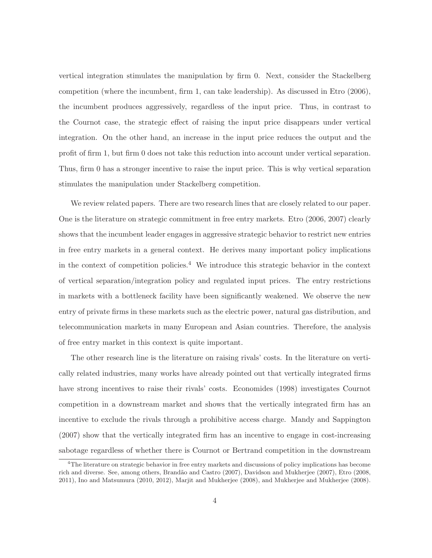vertical integration stimulates the manipulation by firm 0. Next, consider the Stackelberg competition (where the incumbent, firm 1, can take leadership). As discussed in Etro (2006), the incumbent produces aggressively, regardless of the input price. Thus, in contrast to the Cournot case, the strategic effect of raising the input price disappears under vertical integration. On the other hand, an increase in the input price reduces the output and the profit of firm 1, but firm 0 does not take this reduction into account under vertical separation. Thus, firm 0 has a stronger incentive to raise the input price. This is why vertical separation stimulates the manipulation under Stackelberg competition.

We review related papers. There are two research lines that are closely related to our paper. One is the literature on strategic commitment in free entry markets. Etro (2006, 2007) clearly shows that the incumbent leader engages in aggressive strategic behavior to restrict new entries in free entry markets in a general context. He derives many important policy implications in the context of competition policies.<sup>4</sup> We introduce this strategic behavior in the context of vertical separation/integration policy and regulated input prices. The entry restrictions in markets with a bottleneck facility have been significantly weakened. We observe the new entry of private firms in these markets such as the electric power, natural gas distribution, and telecommunication markets in many European and Asian countries. Therefore, the analysis of free entry market in this context is quite important.

The other research line is the literature on raising rivals' costs. In the literature on vertically related industries, many works have already pointed out that vertically integrated firms have strong incentives to raise their rivals' costs. Economides (1998) investigates Cournot competition in a downstream market and shows that the vertically integrated firm has an incentive to exclude the rivals through a prohibitive access charge. Mandy and Sappington (2007) show that the vertically integrated firm has an incentive to engage in cost-increasing sabotage regardless of whether there is Cournot or Bertrand competition in the downstream

<sup>4</sup>The literature on strategic behavior in free entry markets and discussions of policy implications has become rich and diverse. See, among others, Brandão and Castro (2007), Davidson and Mukherjee (2007), Etro (2008, 2011), Ino and Matsumura (2010, 2012), Marjit and Mukherjee (2008), and Mukherjee and Mukherjee (2008).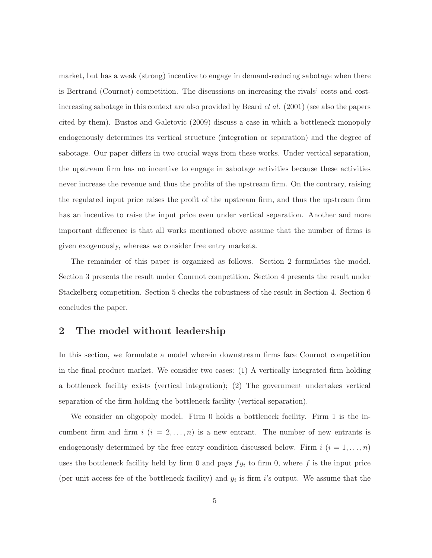market, but has a weak (strong) incentive to engage in demand-reducing sabotage when there is Bertrand (Cournot) competition. The discussions on increasing the rivals' costs and costincreasing sabotage in this context are also provided by Beard *et al.* (2001) (see also the papers cited by them). Bustos and Galetovic (2009) discuss a case in which a bottleneck monopoly endogenously determines its vertical structure (integration or separation) and the degree of sabotage. Our paper differs in two crucial ways from these works. Under vertical separation, the upstream firm has no incentive to engage in sabotage activities because these activities never increase the revenue and thus the profits of the upstream firm. On the contrary, raising the regulated input price raises the profit of the upstream firm, and thus the upstream firm has an incentive to raise the input price even under vertical separation. Another and more important difference is that all works mentioned above assume that the number of firms is given exogenously, whereas we consider free entry markets.

The remainder of this paper is organized as follows. Section 2 formulates the model. Section 3 presents the result under Cournot competition. Section 4 presents the result under Stackelberg competition. Section 5 checks the robustness of the result in Section 4. Section 6 concludes the paper.

## **2 The model without leadership**

In this section, we formulate a model wherein downstream firms face Cournot competition in the final product market. We consider two cases: (1) A vertically integrated firm holding a bottleneck facility exists (vertical integration); (2) The government undertakes vertical separation of the firm holding the bottleneck facility (vertical separation).

We consider an oligopoly model. Firm 0 holds a bottleneck facility. Firm 1 is the incumbent firm and firm  $i$   $(i = 2, ..., n)$  is a new entrant. The number of new entrants is endogenously determined by the free entry condition discussed below. Firm  $i$   $(i = 1, ..., n)$ uses the bottleneck facility held by firm 0 and pays  $fy_i$  to firm 0, where  $f$  is the input price (per unit access fee of the bottleneck facility) and  $y_i$  is firm i's output. We assume that the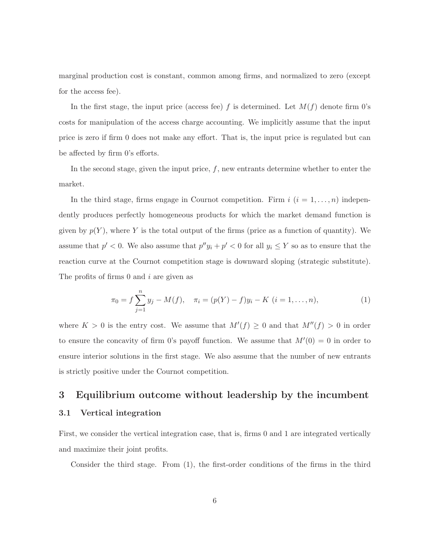marginal production cost is constant, common among firms, and normalized to zero (except for the access fee).

In the first stage, the input price (access fee) f is determined. Let  $M(f)$  denote firm 0's costs for manipulation of the access charge accounting. We implicitly assume that the input price is zero if firm 0 does not make any effort. That is, the input price is regulated but can be affected by firm 0's efforts.

In the second stage, given the input price,  $f$ , new entrants determine whether to enter the market.

In the third stage, firms engage in Cournot competition. Firm  $i$   $(i = 1, \ldots, n)$  independently produces perfectly homogeneous products for which the market demand function is given by  $p(Y)$ , where Y is the total output of the firms (price as a function of quantity). We assume that  $p' < 0$ . We also assume that  $p''y_i + p' < 0$  for all  $y_i \le Y$  so as to ensure that the reaction curve at the Cournot competition stage is downward sloping (strategic substitute). The profits of firms 0 and *i* are given as

$$
\pi_0 = f \sum_{j=1}^n y_j - M(f), \quad \pi_i = (p(Y) - f)y_i - K \ (i = 1, ..., n), \tag{1}
$$

where  $K > 0$  is the entry cost. We assume that  $M'(f) \geq 0$  and that  $M''(f) > 0$  in order to ensure the concavity of firm 0's payoff function. We assume that  $M'(0) = 0$  in order to ensure interior solutions in the first stage. We also assume that the number of new entrants is strictly positive under the Cournot competition.

### **3 Equilibrium outcome without leadership by the incumbent**

#### **3.1 Vertical integration**

First, we consider the vertical integration case, that is, firms 0 and 1 are integrated vertically and maximize their joint profits.

Consider the third stage. From (1), the first-order conditions of the firms in the third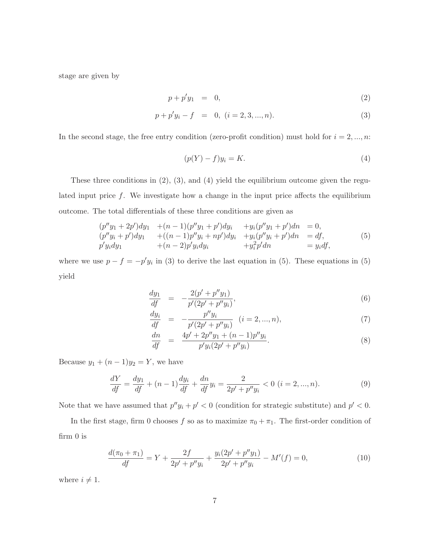stage are given by

$$
p + p'y_1 = 0, \t\t(2)
$$

$$
p + p'y_i - f = 0, \ (i = 2, 3, ..., n). \tag{3}
$$

In the second stage, the free entry condition (zero-profit condition) must hold for  $i = 2, ..., n$ :

$$
(p(Y) - f)y_i = K.
$$
\n<sup>(4)</sup>

These three conditions in  $(2)$ ,  $(3)$ , and  $(4)$  yield the equilibrium outcome given the regulated input price  $f$ . We investigate how a change in the input price affects the equilibrium outcome. The total differentials of these three conditions are given as

$$
(p''y_1 + 2p')dy_1 + (n - 1)(p''y_1 + p')dy_i + y_i(p''y_1 + p')dn = 0,(p''y_i + p')dy_1 + ((n - 1)p''y_i + np')dy_i + y_i(p''y_i + p')dn = df,p'y_idy_1 + (n - 2)p'y_idy_i + y_i^2p'dn = y_idf,
$$
(5)

where we use  $p - f = -p'y_i$  in (3) to derive the last equation in (5). These equations in (5) yield

$$
\frac{dy_1}{df} = -\frac{2(p' + p''y_1)}{p'(2p' + p''y_i)},
$$
\n(6)

$$
\frac{dy_i}{df} = -\frac{p''y_i}{p'(2p' + p''y_i)} \quad (i = 2, ..., n),
$$
\n(7)

$$
\frac{dn}{df} = \frac{4p' + 2p''y_1 + (n-1)p''y_i}{p'y_i(2p' + p''y_i)}.
$$
\n(8)

Because  $y_1 + (n - 1)y_2 = Y$ , we have

$$
\frac{dY}{df} = \frac{dy_1}{df} + (n-1)\frac{dy_i}{df} + \frac{dn}{df}y_i = \frac{2}{2p' + p''y_i} < 0 \ (i = 2, \dots, n). \tag{9}
$$

Note that we have assumed that  $p''y_i + p' < 0$  (condition for strategic substitute) and  $p' < 0$ .

In the first stage, firm 0 chooses  $f$  so as to maximize  $\pi_0 + \pi_1$ . The first-order condition of firm 0 is

$$
\frac{d(\pi_0 + \pi_1)}{df} = Y + \frac{2f}{2p' + p''y_i} + \frac{y_i(2p' + p''y_1)}{2p' + p''y_i} - M'(f) = 0,\tag{10}
$$

where  $i \neq 1$ .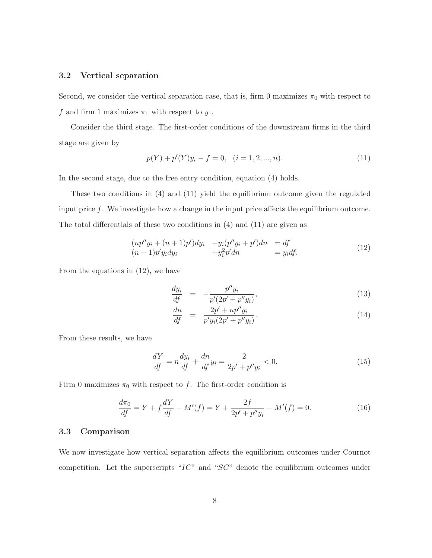#### **3.2 Vertical separation**

Second, we consider the vertical separation case, that is, firm 0 maximizes  $\pi_0$  with respect to f and firm 1 maximizes  $\pi_1$  with respect to  $y_1$ .

Consider the third stage. The first-order conditions of the downstream firms in the third stage are given by

$$
p(Y) + p'(Y)y_i - f = 0, \quad (i = 1, 2, ..., n).
$$
\n(11)

In the second stage, due to the free entry condition, equation (4) holds.

These two conditions in (4) and (11) yield the equilibrium outcome given the regulated input price  $f$ . We investigate how a change in the input price affects the equilibrium outcome. The total differentials of these two conditions in (4) and (11) are given as

$$
(np''y_i + (n+1)p')dy_i + y_i(p''y_i + p')dn = df(n-1)p'y_idy_i + y_i^2p'dn = y_idf.
$$
 (12)

From the equations in (12), we have

$$
\frac{dy_i}{df} = -\frac{p''y_i}{p'(2p' + p''y_i)},
$$
\n(13)

$$
\frac{dn}{df} = \frac{2p' + np''y_i}{p'y_i(2p' + p''y_i)}.
$$
\n(14)

From these results, we have

$$
\frac{dY}{df} = n\frac{dy_i}{df} + \frac{dn}{df}y_i = \frac{2}{2p' + p''y_i} < 0. \tag{15}
$$

Firm 0 maximizes  $\pi_0$  with respect to f. The first-order condition is

$$
\frac{d\pi_0}{df} = Y + f\frac{dY}{df} - M'(f) = Y + \frac{2f}{2p' + p''y_i} - M'(f) = 0.
$$
\n(16)

#### **3.3 Comparison**

We now investigate how vertical separation affects the equilibrium outcomes under Cournot competition. Let the superscripts "IC" and "SC" denote the equilibrium outcomes under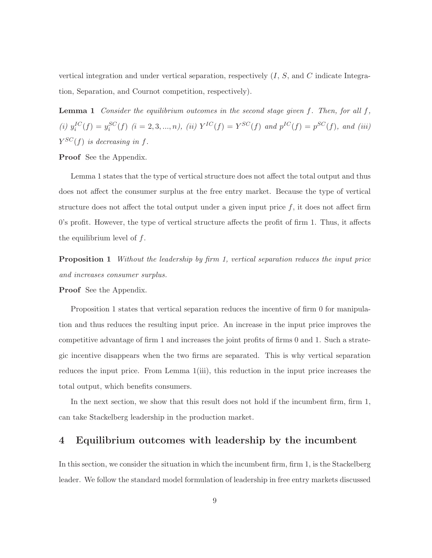vertical integration and under vertical separation, respectively  $(I, S, \text{ and } C \text{ indicate Integra-}$ tion, Separation, and Cournot competition, respectively).

**Lemma 1** *Consider the equilibrium outcomes in the second stage given* f*. Then, for all* f*,* (*i*)  $y_i^{IC}(f) = y_i^{SC}(f)$  (*i* = 2, 3, ..., *n*), (*ii*)  $Y^{IC}(f) = Y^{SC}(f)$  *and*  $p^{IC}(f) = p^{SC}(f)$ *, and* (*iii*)  $Y^{SC}(f)$  *is decreasing in f.* 

**Proof** See the Appendix.

Lemma 1 states that the type of vertical structure does not affect the total output and thus does not affect the consumer surplus at the free entry market. Because the type of vertical structure does not affect the total output under a given input price  $f$ , it does not affect firm 0's profit. However, the type of vertical structure affects the profit of firm 1. Thus, it affects the equilibrium level of f.

**Proposition 1** *Without the leadership by firm 1, vertical separation reduces the input price and increases consumer surplus.*

**Proof** See the Appendix.

Proposition 1 states that vertical separation reduces the incentive of firm 0 for manipulation and thus reduces the resulting input price. An increase in the input price improves the competitive advantage of firm 1 and increases the joint profits of firms 0 and 1. Such a strategic incentive disappears when the two firms are separated. This is why vertical separation reduces the input price. From Lemma 1(iii), this reduction in the input price increases the total output, which benefits consumers.

In the next section, we show that this result does not hold if the incumbent firm, firm 1, can take Stackelberg leadership in the production market.

### **4 Equilibrium outcomes with leadership by the incumbent**

In this section, we consider the situation in which the incumbent firm, firm 1, is the Stackelberg leader. We follow the standard model formulation of leadership in free entry markets discussed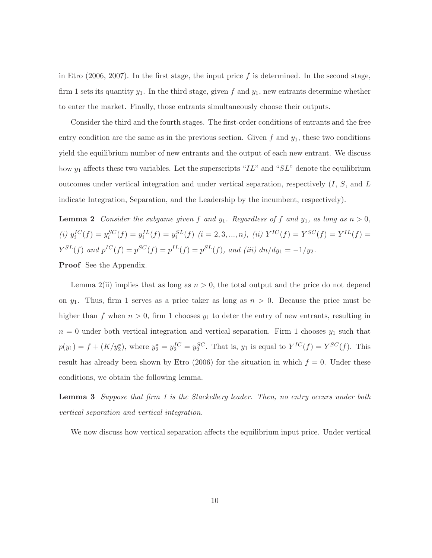in Etro (2006, 2007). In the first stage, the input price  $f$  is determined. In the second stage, firm 1 sets its quantity  $y_1$ . In the third stage, given f and  $y_1$ , new entrants determine whether to enter the market. Finally, those entrants simultaneously choose their outputs.

Consider the third and the fourth stages. The first-order conditions of entrants and the free entry condition are the same as in the previous section. Given  $f$  and  $y_1$ , these two conditions yield the equilibrium number of new entrants and the output of each new entrant. We discuss how  $y_1$  affects these two variables. Let the superscripts "IL" and "SL" denote the equilibrium outcomes under vertical integration and under vertical separation, respectively  $(I, S, \text{ and } L)$ indicate Integration, Separation, and the Leadership by the incumbent, respectively).

**Lemma 2** *Consider the subgame given* f and  $y_1$ *. Regardless of* f and  $y_1$ *, as long as*  $n > 0$ *,*  $(i)$   $y_i^{IC}(f) = y_i^{SC}(f) = y_i^{IL}(f) = y_i^{SL}(f)$   $(i = 2, 3, ..., n)$ ,  $(ii)$   $Y^{IC}(f) = Y^{SC}(f) = Y^{IL}(f) = Y^{IL}(f)$  $Y^{SL}(f)$  *and*  $p^{IC}(f) = p^{SC}(f) = p^{IL}(f) = p^{SL}(f)$ *, and (iii)*  $dn/dy_1 = -1/y_2$ *.* **Proof** See the Appendix.

Lemma 2(ii) implies that as long as  $n > 0$ , the total output and the price do not depend on  $y_1$ . Thus, firm 1 serves as a price taker as long as  $n > 0$ . Because the price must be higher than f when  $n > 0$ , firm 1 chooses  $y_1$  to deter the entry of new entrants, resulting in  $n = 0$  under both vertical integration and vertical separation. Firm 1 chooses  $y_1$  such that  $p(y_1) = f + (K/y_2^*)$ , where  $y_2^* = y_2^{IC} = y_2^{SC}$ . That is,  $y_1$  is equal to  $Y^{IC}(f) = Y^{SC}(f)$ . This result has already been shown by Etro (2006) for the situation in which  $f = 0$ . Under these conditions, we obtain the following lemma.

**Lemma 3** *Suppose that firm 1 is the Stackelberg leader. Then, no entry occurs under both vertical separation and vertical integration.*

We now discuss how vertical separation affects the equilibrium input price. Under vertical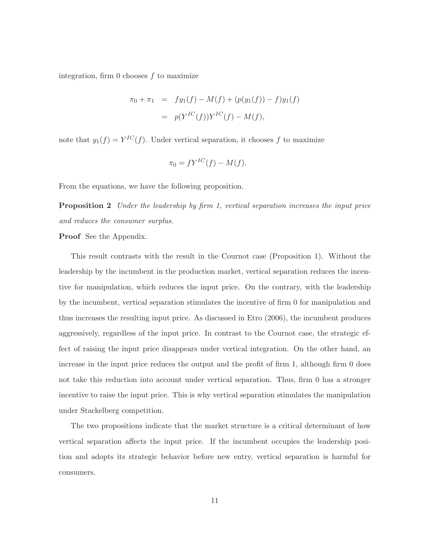integration, firm  $0$  chooses  $f$  to maximize

$$
\pi_0 + \pi_1 = fy_1(f) - M(f) + (p(y_1(f)) - f)y_1(f)
$$
  
=  $p(Y^{IC}(f))Y^{IC}(f) - M(f),$ 

note that  $y_1(f) = Y^{IC}(f)$ . Under vertical separation, it chooses f to maximize

$$
\pi_0 = fY^{IC}(f) - M(f).
$$

From the equations, we have the following proposition.

**Proposition 2** *Under the leadership by firm 1, vertical separation increases the input price and reduces the consumer surplus.*

**Proof** See the Appendix.

This result contrasts with the result in the Cournot case (Proposition 1). Without the leadership by the incumbent in the production market, vertical separation reduces the incentive for manipulation, which reduces the input price. On the contrary, with the leadership by the incumbent, vertical separation stimulates the incentive of firm 0 for manipulation and thus increases the resulting input price. As discussed in Etro (2006), the incumbent produces aggressively, regardless of the input price. In contrast to the Cournot case, the strategic effect of raising the input price disappears under vertical integration. On the other hand, an increase in the input price reduces the output and the profit of firm 1, although firm 0 does not take this reduction into account under vertical separation. Thus, firm 0 has a stronger incentive to raise the input price. This is why vertical separation stimulates the manipulation under Stackelberg competition.

The two propositions indicate that the market structure is a critical determinant of how vertical separation affects the input price. If the incumbent occupies the leadership position and adopts its strategic behavior before new entry, vertical separation is harmful for consumers.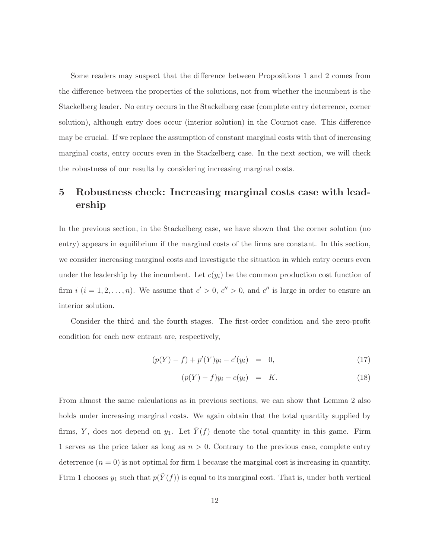Some readers may suspect that the difference between Propositions 1 and 2 comes from the difference between the properties of the solutions, not from whether the incumbent is the Stackelberg leader. No entry occurs in the Stackelberg case (complete entry deterrence, corner solution), although entry does occur (interior solution) in the Cournot case. This difference may be crucial. If we replace the assumption of constant marginal costs with that of increasing marginal costs, entry occurs even in the Stackelberg case. In the next section, we will check the robustness of our results by considering increasing marginal costs.

## **5 Robustness check: Increasing marginal costs case with leadership**

In the previous section, in the Stackelberg case, we have shown that the corner solution (no entry) appears in equilibrium if the marginal costs of the firms are constant. In this section, we consider increasing marginal costs and investigate the situation in which entry occurs even under the leadership by the incumbent. Let  $c(y_i)$  be the common production cost function of firm  $i$   $(i = 1, 2, ..., n)$ . We assume that  $c' > 0$ ,  $c'' > 0$ , and  $c''$  is large in order to ensure an interior solution.

Consider the third and the fourth stages. The first-order condition and the zero-profit condition for each new entrant are, respectively,

$$
(p(Y) - f) + p'(Y)y_i - c'(y_i) = 0,
$$
\n(17)

$$
(p(Y) - f)y_i - c(y_i) = K.
$$
 (18)

From almost the same calculations as in previous sections, we can show that Lemma 2 also holds under increasing marginal costs. We again obtain that the total quantity supplied by firms, Y, does not depend on  $y_1$ . Let  $\tilde{Y}(f)$  denote the total quantity in this game. Firm 1 serves as the price taker as long as  $n > 0$ . Contrary to the previous case, complete entry deterrence  $(n = 0)$  is not optimal for firm 1 because the marginal cost is increasing in quantity. Firm 1 chooses  $y_1$  such that  $p(Y(f))$  is equal to its marginal cost. That is, under both vertical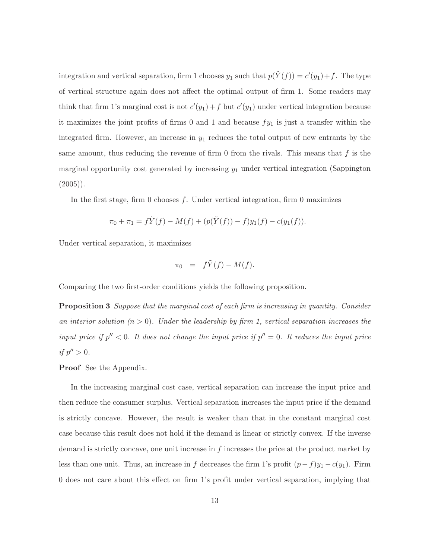integration and vertical separation, firm 1 chooses  $y_1$  such that  $p(\tilde{Y}(f)) = c'(y_1) + f$ . The type of vertical structure again does not affect the optimal output of firm 1. Some readers may think that firm 1's marginal cost is not  $c'(y_1) + f$  but  $c'(y_1)$  under vertical integration because it maximizes the joint profits of firms 0 and 1 and because  $fy_1$  is just a transfer within the integrated firm. However, an increase in  $y_1$  reduces the total output of new entrants by the same amount, thus reducing the revenue of firm 0 from the rivals. This means that  $f$  is the marginal opportunity cost generated by increasing  $y_1$  under vertical integration (Sappington  $(2005)$ ).

In the first stage, firm 0 chooses f. Under vertical integration, firm 0 maximizes

$$
\pi_0 + \pi_1 = f\tilde{Y}(f) - M(f) + (p(\tilde{Y}(f)) - f)y_1(f) - c(y_1(f)).
$$

Under vertical separation, it maximizes

$$
\pi_0 = f\tilde{Y}(f) - M(f).
$$

Comparing the two first-order conditions yields the following proposition.

**Proposition 3** *Suppose that the marginal cost of each firm is increasing in quantity. Consider an interior solution*  $(n > 0)$ *. Under the leadership by firm 1, vertical separation increases the input price if*  $p'' < 0$ . It does not change the input price if  $p'' = 0$ . It reduces the input price *if*  $p'' > 0$ .

**Proof** See the Appendix.

In the increasing marginal cost case, vertical separation can increase the input price and then reduce the consumer surplus. Vertical separation increases the input price if the demand is strictly concave. However, the result is weaker than that in the constant marginal cost case because this result does not hold if the demand is linear or strictly convex. If the inverse demand is strictly concave, one unit increase in  $f$  increases the price at the product market by less than one unit. Thus, an increase in f decreases the firm 1's profit  $(p-f)y_1 - c(y_1)$ . Firm 0 does not care about this effect on firm 1's profit under vertical separation, implying that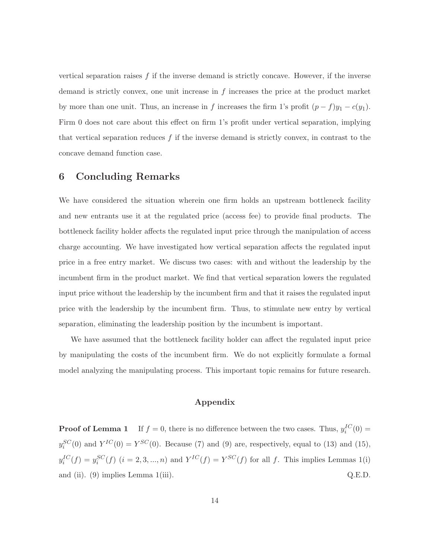vertical separation raises  $f$  if the inverse demand is strictly concave. However, if the inverse demand is strictly convex, one unit increase in f increases the price at the product market by more than one unit. Thus, an increase in f increases the firm 1's profit  $(p - f)y_1 - c(y_1)$ . Firm 0 does not care about this effect on firm 1's profit under vertical separation, implying that vertical separation reduces  $f$  if the inverse demand is strictly convex, in contrast to the concave demand function case.

### **6 Concluding Remarks**

We have considered the situation wherein one firm holds an upstream bottleneck facility and new entrants use it at the regulated price (access fee) to provide final products. The bottleneck facility holder affects the regulated input price through the manipulation of access charge accounting. We have investigated how vertical separation affects the regulated input price in a free entry market. We discuss two cases: with and without the leadership by the incumbent firm in the product market. We find that vertical separation lowers the regulated input price without the leadership by the incumbent firm and that it raises the regulated input price with the leadership by the incumbent firm. Thus, to stimulate new entry by vertical separation, eliminating the leadership position by the incumbent is important.

We have assumed that the bottleneck facility holder can affect the regulated input price by manipulating the costs of the incumbent firm. We do not explicitly formulate a formal model analyzing the manipulating process. This important topic remains for future research.

### **Appendix**

**Proof of Lemma 1** If  $f = 0$ , there is no difference between the two cases. Thus,  $y_i^{IC}(0) =$  $y_i^{SC}(0)$  and  $Y^{IC}(0) = Y^{SC}(0)$ . Because (7) and (9) are, respectively, equal to (13) and (15),  $y_i^{IC}(f) = y_i^{SC}(f)$  (i = 2, 3, ..., n) and  $Y^{IC}(f) = Y^{SC}(f)$  for all f. This implies Lemmas 1(i) and (ii). (9) implies Lemma 1(iii). Q.E.D.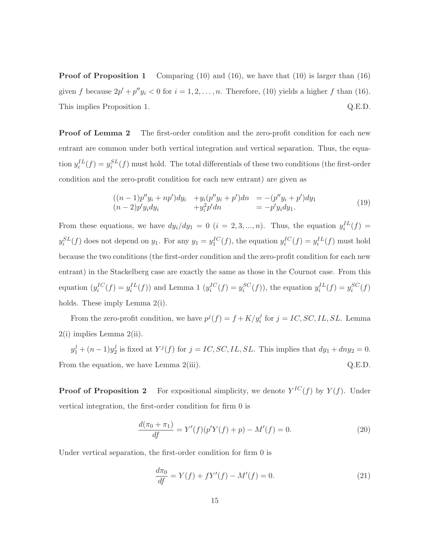**Proof of Proposition 1** Comparing (10) and (16), we have that (10) is larger than (16) given f because  $2p' + p''y_i < 0$  for  $i = 1, 2, ..., n$ . Therefore, (10) yields a higher f than (16). This implies Proposition 1.  $Q.E.D.$ 

**Proof of Lemma 2** The first-order condition and the zero-profit condition for each new entrant are common under both vertical integration and vertical separation. Thus, the equation  $y_i^{IL}(f) = y_i^{SL}(f)$  must hold. The total differentials of these two conditions (the first-order condition and the zero-profit condition for each new entrant) are given as

$$
((n-1)p''y_i + np')dy_i + y_i(p''y_i + p')dn = -(p''y_i + p')dy_1 (n-2)p'y_idy_i + y_i^2p'dn = -p'y_idy_1.
$$
 (19)

From these equations, we have  $dy_i/dy_1 = 0$   $(i = 2, 3, ..., n)$ . Thus, the equation  $y_i^{IL}(f) =$  $y_i^{SL}(f)$  does not depend on  $y_1$ . For any  $y_1 = y_1^{IC}(f)$ , the equation  $y_i^{IC}(f) = y_i^{IL}(f)$  must hold because the two conditions (the first-order condition and the zero-profit condition for each new entrant) in the Stackelberg case are exactly the same as those in the Cournot case. From this equation  $(y_i^{IC}(f) = y_i^{IL}(f))$  and Lemma 1  $(y_i^{IC}(f) = y_i^{SC}(f))$ , the equation  $y_i^{IL}(f) = y_i^{SC}(f)$ holds. These imply Lemma 2(i).

From the zero-profit condition, we have  $p^{j}(f) = f + K/y_i^{j}$  for  $j = IC, SC, IL, SL$ . Lemma 2(i) implies Lemma 2(ii).

 $y_1^j + (n-1)y_2^j$  is fixed at  $Y^j(f)$  for  $j = IC, SC, IL, SL$ . This implies that  $dy_1 + dny_2 = 0$ . From the equation, we have Lemma 2(iii).  $Q.E.D.$ 

**Proof of Proposition 2** For expositional simplicity, we denote  $Y^{IC}(f)$  by  $Y(f)$ . Under vertical integration, the first-order condition for firm 0 is

$$
\frac{d(\pi_0 + \pi_1)}{df} = Y'(f)(p'Y(f) + p) - M'(f) = 0.
$$
\n(20)

Under vertical separation, the first-order condition for firm 0 is

$$
\frac{d\pi_0}{df} = Y(f) + fY'(f) - M'(f) = 0.
$$
\n(21)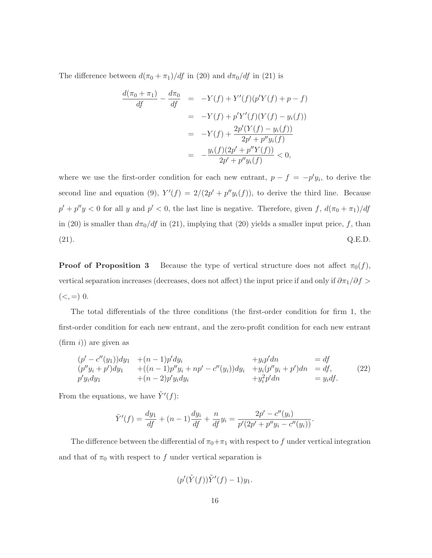The difference between  $d(\pi_0 + \pi_1)/df$  in (20) and  $d\pi_0/df$  in (21) is

$$
\frac{d(\pi_0 + \pi_1)}{df} - \frac{d\pi_0}{df} = -Y(f) + Y'(f)(p'Y(f) + p - f)
$$
  
\n
$$
= -Y(f) + p'Y'(f)(Y(f) - y_i(f))
$$
  
\n
$$
= -Y(f) + \frac{2p'(Y(f) - y_i(f))}{2p' + p''y_i(f)}
$$
  
\n
$$
= -\frac{y_i(f)(2p' + p''Y(f))}{2p' + p''y_i(f)} < 0,
$$

where we use the first-order condition for each new entrant,  $p - f = -p'y_i$ , to derive the second line and equation (9),  $Y'(f) = 2/(2p' + p''y_i(f))$ , to derive the third line. Because  $p' + p''y < 0$  for all y and  $p' < 0$ , the last line is negative. Therefore, given f,  $d(\pi_0 + \pi_1)/df$ in (20) is smaller than  $d\pi_0/df$  in (21), implying that (20) yields a smaller input price, f, than  $(21).$  Q.E.D.

**Proof of Proposition 3** Because the type of vertical structure does not affect  $\pi_0(f)$ , vertical separation increases (decreases, does not affect) the input price if and only if  $\partial \pi_1/\partial f$  $(<, =) 0.$ 

The total differentials of the three conditions (the first-order condition for firm 1, the first-order condition for each new entrant, and the zero-profit condition for each new entrant  $(firm i)$  are given as

$$
(p' - c''(y_1))dy_1 + (n - 1)p'dy_i + y_i p'dn = df (p''y_i + p')dy_1 + ((n - 1)p''y_i + np' - c''(y_i))dy_i + y_i(p''y_i + p')dn = df, (22)p'y_idy_1 + (n - 2)p'y_idy_i + y_i^2p'dn = y_idf.
$$

From the equations, we have  $\tilde{Y}'(f)$ :

$$
\tilde{Y}'(f) = \frac{dy_1}{df} + (n-1)\frac{dy_i}{df} + \frac{n}{df}y_i = \frac{2p' - c''(y_i)}{p'(2p' + p''y_i - c''(y_i))}.
$$

The difference between the differential of  $\pi_0+\pi_1$  with respect to f under vertical integration and that of  $\pi_0$  with respect to f under vertical separation is

$$
(p'(\tilde{Y}(f))\tilde{Y}'(f)-1)y_1.
$$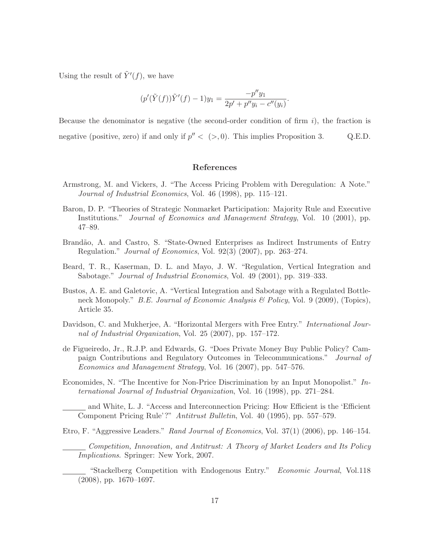Using the result of  $\tilde{Y}'(f)$ , we have

$$
(p'(\tilde{Y}(f))\tilde{Y}'(f) - 1)y_1 = \frac{-p''y_1}{2p' + p''y_i - c''(y_i)}.
$$

Because the denominator is negative (the second-order condition of firm  $i$ ), the fraction is negative (positive, zero) if and only if  $p'' < (>, 0)$ . This implies Proposition 3. Q.E.D.

#### **References**

- Armstrong, M. and Vickers, J. "The Access Pricing Problem with Deregulation: A Note." *Journal of Industrial Economics*, Vol. 46 (1998), pp. 115–121.
- Baron, D. P. "Theories of Strategic Nonmarket Participation: Majority Rule and Executive Institutions." *Journal of Economics and Management Strategy*, Vol. 10 (2001), pp. 47–89.
- Brandão, A. and Castro, S. "State-Owned Enterprises as Indirect Instruments of Entry Regulation." *Journal of Economics*, Vol. 92(3) (2007), pp. 263–274.
- Beard, T. R., Kaserman, D. L. and Mayo, J. W. "Regulation, Vertical Integration and Sabotage." *Journal of Industrial Economics*, Vol. 49 (2001), pp. 319–333.
- Bustos, A. E. and Galetovic, A. "Vertical Integration and Sabotage with a Regulated Bottleneck Monopoly." *B.E. Journal of Economic Analysis & Policy*, Vol. 9 (2009), (Topics), Article 35.
- Davidson, C. and Mukherjee, A. "Horizontal Mergers with Free Entry." *International Journal of Industrial Organization*, Vol. 25 (2007), pp. 157–172.
- de Figueiredo, Jr., R.J.P. and Edwards, G. "Does Private Money Buy Public Policy? Campaign Contributions and Regulatory Outcomes in Telecommunications." *Journal of Economics and Management Strategy*, Vol. 16 (2007), pp. 547–576.
- Economides, N. "The Incentive for Non-Price Discrimination by an Input Monopolist." *International Journal of Industrial Organization*, Vol. 16 (1998), pp. 271–284.

and White, L. J. "Access and Interconnection Pricing: How Efficient is the 'Efficient Component Pricing Rule'?" *Antitrust Bulletin*, Vol. 40 (1995), pp. 557–579.

Etro, F. "Aggressive Leaders." *Rand Journal of Economics*, Vol. 37(1) (2006), pp. 146–154.

*Competition, Innovation, and Antitrust: A Theory of Market Leaders and Its Policy Implications*. Springer: New York, 2007.

"Stackelberg Competition with Endogenous Entry." *Economic Journal*, Vol.118 (2008), pp. 1670–1697.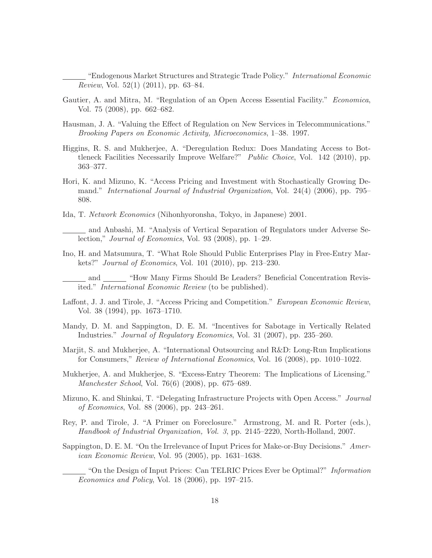"Endogenous Market Structures and Strategic Trade Policy." *International Economic Review*, Vol. 52(1) (2011), pp. 63–84.

- Gautier, A. and Mitra, M. "Regulation of an Open Access Essential Facility." *Economica*, Vol. 75 (2008), pp. 662–682.
- Hausman, J. A. "Valuing the Effect of Regulation on New Services in Telecommunications." *Brooking Papers on Economic Activity, Microeconomics*, 1–38. 1997.
- Higgins, R. S. and Mukherjee, A. "Deregulation Redux: Does Mandating Access to Bottleneck Facilities Necessarily Improve Welfare?" *Public Choice*, Vol. 142 (2010), pp. 363–377.
- Hori, K. and Mizuno, K. "Access Pricing and Investment with Stochastically Growing Demand." *International Journal of Industrial Organization*, Vol. 24(4) (2006), pp. 795– 808.
- Ida, T. *Network Economics* (Nihonhyoronsha, Tokyo, in Japanese) 2001.
	- and Anbashi, M. "Analysis of Vertical Separation of Regulators under Adverse Selection," *Journal of Economics*, Vol. 93 (2008), pp. 1–29.
- Ino, H. and Matsumura, T. "What Role Should Public Enterprises Play in Free-Entry Markets?" *Journal of Economics*, Vol. 101 (2010), pp. 213–230.
- and "How Many Firms Should Be Leaders? Beneficial Concentration Revisited." *International Economic Review* (to be published).
- Laffont, J. J. and Tirole, J. "Access Pricing and Competition." *European Economic Review*, Vol. 38 (1994), pp. 1673–1710.
- Mandy, D. M. and Sappington, D. E. M. "Incentives for Sabotage in Vertically Related Industries." *Journal of Regulatory Economics*, Vol. 31 (2007), pp. 235–260.
- Marjit, S. and Mukherjee, A. "International Outsourcing and R&D: Long-Run Implications for Consumers," *Review of International Economics*, Vol. 16 (2008), pp. 1010–1022.
- Mukherjee, A. and Mukherjee, S. "Excess-Entry Theorem: The Implications of Licensing." *Manchester School*, Vol. 76(6) (2008), pp. 675–689.
- Mizuno, K. and Shinkai, T. "Delegating Infrastructure Projects with Open Access." *Journal of Economics*, Vol. 88 (2006), pp. 243–261.
- Rey, P. and Tirole, J. "A Primer on Foreclosure." Armstrong, M. and R. Porter (eds.), *Handbook of Industrial Organization, Vol. 3*, pp. 2145–2220, North-Holland, 2007.
- Sappington, D. E. M. "On the Irrelevance of Input Prices for Make-or-Buy Decisions." *American Economic Review*, Vol. 95 (2005), pp. 1631–1638.

"On the Design of Input Prices: Can TELRIC Prices Ever be Optimal?" *Information Economics and Policy*, Vol. 18 (2006), pp. 197–215.